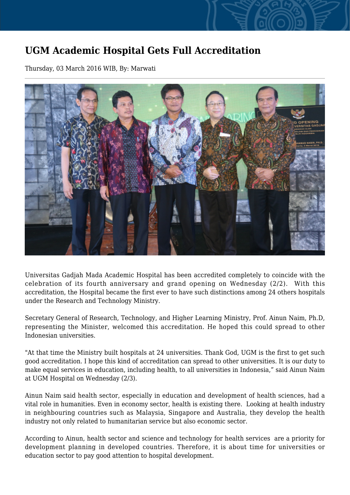## **UGM Academic Hospital Gets Full Accreditation**

Thursday, 03 March 2016 WIB, By: Marwati



Universitas Gadjah Mada Academic Hospital has been accredited completely to coincide with the celebration of its fourth anniversary and grand opening on Wednesday (2/2). With this accreditation, the Hospital became the first ever to have such distinctions among 24 others hospitals under the Research and Technology Ministry.

Secretary General of Research, Technology, and Higher Learning Ministry, Prof. Ainun Naim, Ph.D, representing the Minister, welcomed this accreditation. He hoped this could spread to other Indonesian universities.

"At that time the Ministry built hospitals at 24 universities. Thank God, UGM is the first to get such good accreditation. I hope this kind of accreditation can spread to other universities. It is our duty to make equal services in education, including health, to all universities in Indonesia," said Ainun Naim at UGM Hospital on Wednesday (2/3).

Ainun Naim said health sector, especially in education and development of health sciences, had a vital role in humanities. Even in economy sector, health is existing there. Looking at health industry in neighbouring countries such as Malaysia, Singapore and Australia, they develop the health industry not only related to humanitarian service but also economic sector.

According to Ainun, health sector and science and technology for health services are a priority for development planning in developed countries. Therefore, it is about time for universities or education sector to pay good attention to hospital development.